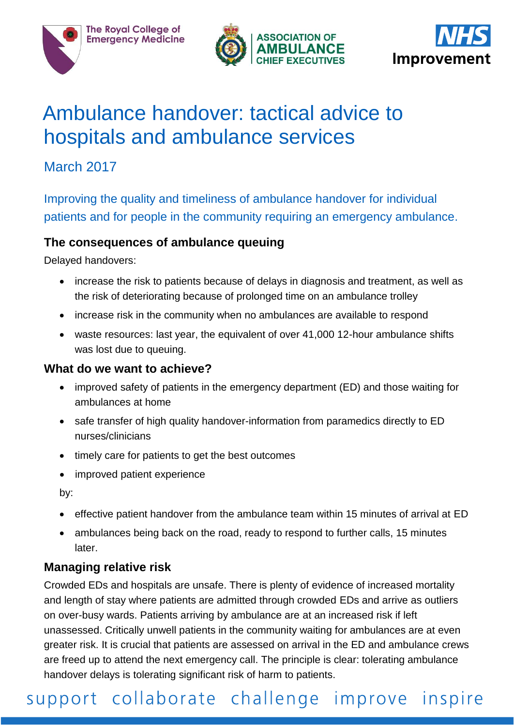

**The Royal College of Emergency Medicine** 





# Ambulance handover: tactical advice to hospitals and ambulance services

### March 2017

Improving the quality and timeliness of ambulance handover for individual patients and for people in the community requiring an emergency ambulance.

#### **The consequences of ambulance queuing**

Delayed handovers:

- increase the risk to patients because of delays in diagnosis and treatment, as well as the risk of deteriorating because of prolonged time on an ambulance trolley
- increase risk in the community when no ambulances are available to respond
- waste resources: last year, the equivalent of over 41,000 12-hour ambulance shifts was lost due to queuing.

#### **What do we want to achieve?**

- improved safety of patients in the emergency department (ED) and those waiting for ambulances at home
- safe transfer of high quality handover-information from paramedics directly to ED nurses/clinicians
- timely care for patients to get the best outcomes
- improved patient experience

by:

- effective patient handover from the ambulance team within 15 minutes of arrival at ED
- ambulances being back on the road, ready to respond to further calls, 15 minutes later.

#### **Managing relative risk**

Crowded EDs and hospitals are unsafe. There is plenty of evidence of increased mortality and length of stay where patients are admitted through crowded EDs and arrive as outliers on over-busy wards. Patients arriving by ambulance are at an increased risk if left unassessed. Critically unwell patients in the community waiting for ambulances are at even greater risk. It is crucial that patients are assessed on arrival in the ED and ambulance crews are freed up to attend the next emergency call. The principle is clear: tolerating ambulance handover delays is tolerating significant risk of harm to patients.

## support collaborate challenge improve inspire